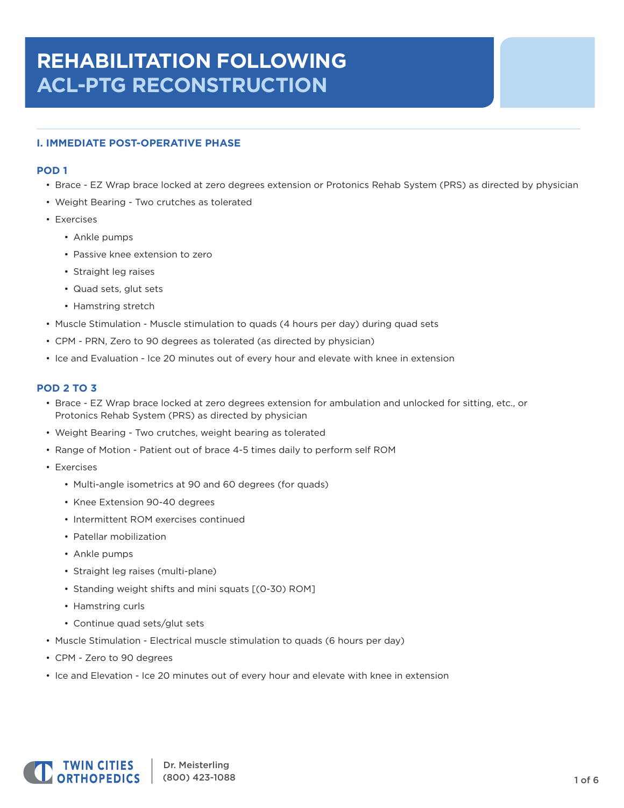# **REHABILITATION FOLLOWING ACL‑PTG RECONSTRUCTION**

# **I. IMMEDIATE POST‑OPERATIVE PHASE**

# **POD 1**

- Brace ‑ EZ Wrap brace locked at zero degrees extension or Protonics Rehab System (PRS) as directed by physician
- Weight Bearing ‑ Two crutches as tolerated
- Exercises
	- Ankle pumps
	- Passive knee extension to zero
	- Straight leg raises
	- Quad sets, glut sets
	- Hamstring stretch
- Muscle Stimulation Muscle stimulation to quads (4 hours per day) during quad sets
- CPM ‑ PRN, Zero to 90 degrees as tolerated (as directed by physician)
- Ice and Evaluation ‑ Ice 20 minutes out of every hour and elevate with knee in extension

# **POD 2 TO 3**

- Brace ‑ EZ Wrap brace locked at zero degrees extension for ambulation and unlocked for sitting, etc., or Protonics Rehab System (PRS) as directed by physician
- Weight Bearing ‑ Two crutches, weight bearing as tolerated
- Range of Motion Patient out of brace 4-5 times daily to perform self ROM
- Exercises
	- Multi-angle isometrics at 90 and 60 degrees (for quads)
	- Knee Extension 90-40 degrees
	- Intermittent ROM exercises continued
	- Patellar mobilization
	- Ankle pumps
	- Straight leg raises (multi-plane)
	- Standing weight shifts and mini squats [(0‑30) ROM]
	- Hamstring curls
	- Continue quad sets/glut sets
- Muscle Stimulation Electrical muscle stimulation to quads (6 hours per day)
- CPM ‑ Zero to 90 degrees
- Ice and Elevation Ice 20 minutes out of every hour and elevate with knee in extension

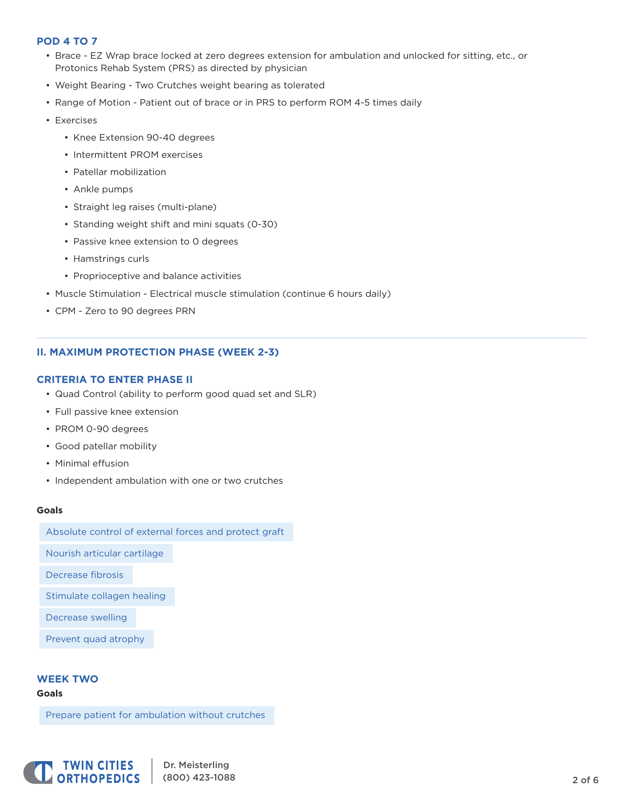# **POD 4 TO 7**

- Brace ‑ EZ Wrap brace locked at zero degrees extension for ambulation and unlocked for sitting, etc., or Protonics Rehab System (PRS) as directed by physician
- Weight Bearing ‑ Two Crutches weight bearing as tolerated
- Range of Motion Patient out of brace or in PRS to perform ROM 4-5 times daily
- Exercises
	- Knee Extension 90-40 degrees
	- Intermittent PROM exercises
	- Patellar mobilization
	- Ankle pumps
	- Straight leg raises (multi-plane)
	- Standing weight shift and mini squats (0‑30)
	- Passive knee extension to 0 degrees
	- Hamstrings curls
	- Proprioceptive and balance activities
- Muscle Stimulation ‑ Electrical muscle stimulation (continue 6 hours daily)
- CPM ‑ Zero to 90 degrees PRN

# **II. MAXIMUM PROTECTION PHASE (WEEK 2‑3)**

# **CRITERIA TO ENTER PHASE II**

- Quad Control (ability to perform good quad set and SLR)
- Full passive knee extension
- PROM 0-90 degrees
- Good patellar mobility
- Minimal effusion
- Independent ambulation with one or two crutches

#### **Goals**

Absolute control of external forces and protect graft

Nourish articular cartilage

Decrease fibrosis

Stimulate collagen healing

Decrease swelling

Prevent quad atrophy

# **WEEK TWO**

#### **Goals**

Prepare patient for ambulation without crutches

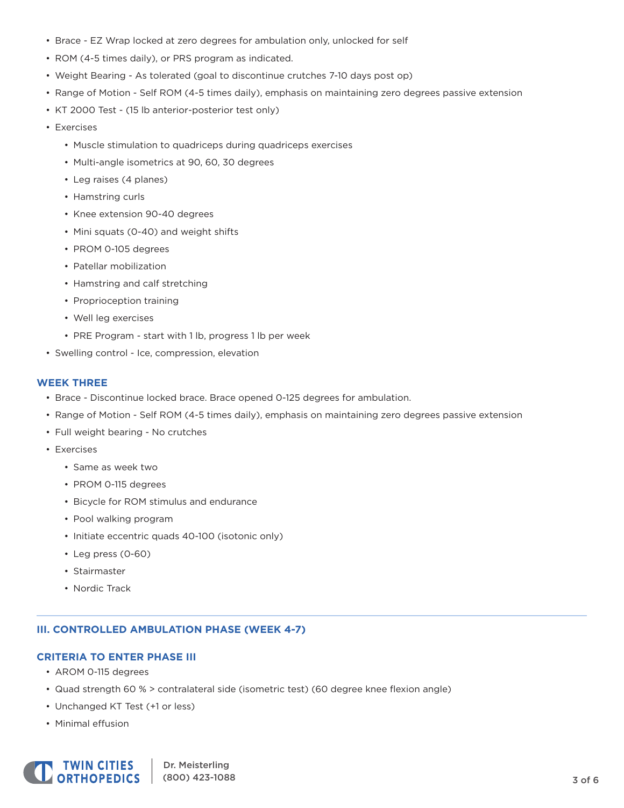- Brace ‑ EZ Wrap locked at zero degrees for ambulation only, unlocked for self
- ROM (4-5 times daily), or PRS program as indicated.
- Weight Bearing As tolerated (goal to discontinue crutches 7-10 days post op)
- Range of Motion Self ROM (4-5 times daily), emphasis on maintaining zero degrees passive extension
- KT 2000 Test ‑ (15 lb anterior-posterior test only)
- Exercises
	- Muscle stimulation to quadriceps during quadriceps exercises
	- Multi-angle isometrics at 90, 60, 30 degrees
	- Leg raises (4 planes)
	- Hamstring curls
	- Knee extension 90‑40 degrees
	- Mini squats (0-40) and weight shifts
	- PROM 0‑105 degrees
	- Patellar mobilization
	- Hamstring and calf stretching
	- Proprioception training
	- Well leg exercises
	- PRE Program start with 1 lb, progress 1 lb per week
- Swelling control ‑ Ice, compression, elevation

#### **WEEK THREE**

- Brace Discontinue locked brace. Brace opened 0-125 degrees for ambulation.
- Range of Motion ‑ Self ROM (4‑5 times daily), emphasis on maintaining zero degrees passive extension
- Full weight bearing ‑ No crutches
- Exercises
	- Same as week two
	- PROM 0‑115 degrees
	- Bicycle for ROM stimulus and endurance
	- Pool walking program
	- Initiate eccentric quads 40-100 (isotonic only)
	- Leg press (0‑60)
	- Stairmaster
	- Nordic Track

### **III. CONTROLLED AMBULATION PHASE (WEEK 4‑7)**

### **CRITERIA TO ENTER PHASE III**

- AROM 0‑115 degrees
- Quad strength 60 % > contralateral side (isometric test) (60 degree knee flexion angle)
- Unchanged KT Test (+1 or less)
- Minimal effusion

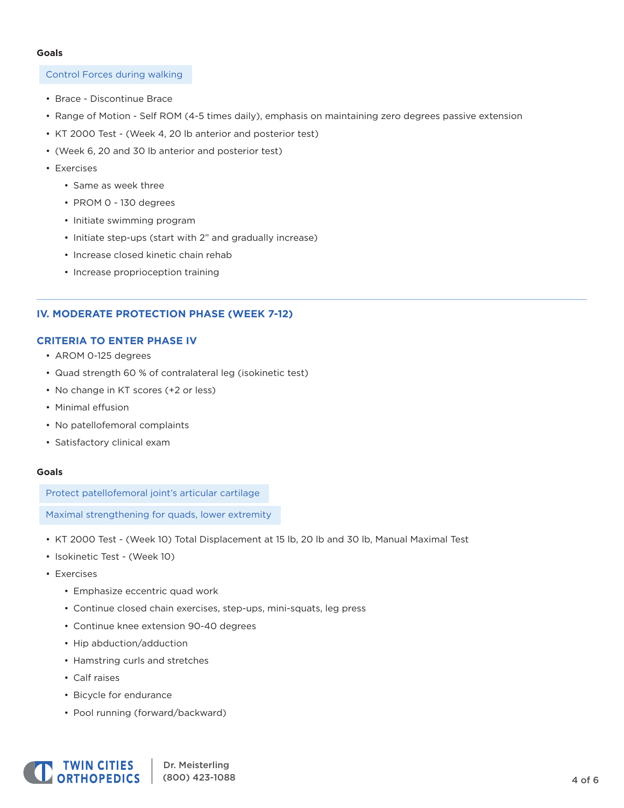#### **Goals**

#### Control Forces during walking

- Brace Discontinue Brace
- Range of Motion Self ROM (4-5 times daily), emphasis on maintaining zero degrees passive extension
- KT 2000 Test ‑ (Week 4, 20 lb anterior and posterior test)
- (Week 6, 20 and 30 lb anterior and posterior test)
- Exercises
	- Same as week three
	- PROM 0 ‑ 130 degrees
	- Initiate swimming program
	- Initiate step‑ups (start with 2" and gradually increase)
	- Increase closed kinetic chain rehab
	- Increase proprioception training

# **IV. MODERATE PROTECTION PHASE (WEEK 7‑12)**

#### **CRITERIA TO ENTER PHASE IV**

- AROM 0‑125 degrees
- Quad strength 60 % of contralateral leg (isokinetic test)
- No change in KT scores (+2 or less)
- Minimal effusion
- No patellofemoral complaints
- Satisfactory clinical exam

#### **Goals**

Protect patellofemoral joint's articular cartilage

Maximal strengthening for quads, lower extremity

- KT 2000 Test ‑ (Week 10) Total Displacement at 15 lb, 20 lb and 30 lb, Manual Maximal Test
- Isokinetic Test ‑ (Week 10)
- Exercises
	- Emphasize eccentric quad work
	- Continue closed chain exercises, step-ups, mini-squats, leg press
	- Continue knee extension 90‑40 degrees
	- Hip abduction/adduction
	- Hamstring curls and stretches
	- Calf raises
	- Bicycle for endurance
	- Pool running (forward/backward)

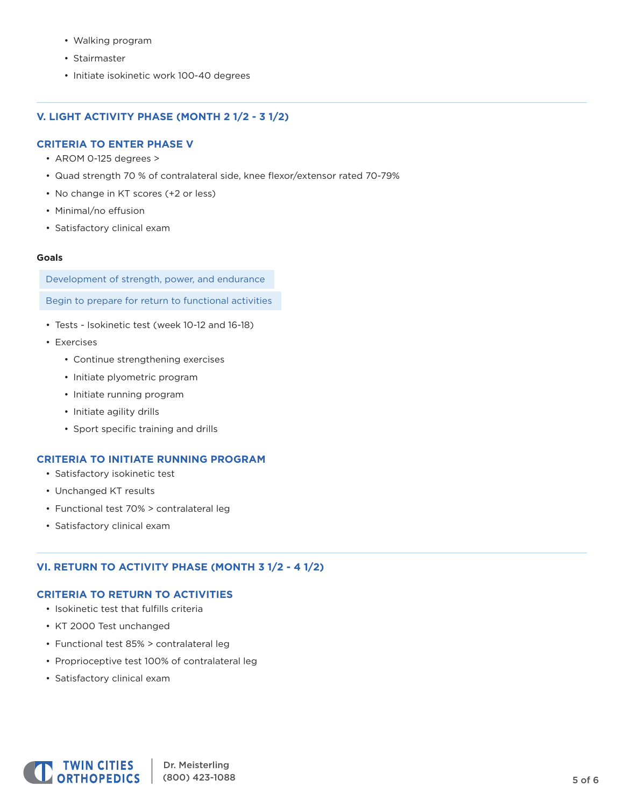- Walking program
- Stairmaster
- Initiate isokinetic work 100‑40 degrees

# **V. LIGHT ACTIVITY PHASE (MONTH 2 1/2 ‑ 3 1/2)**

# **CRITERIA TO ENTER PHASE V**

- AROM 0-125 degrees >
- Quad strength 70 % of contralateral side, knee flexor/extensor rated 70‑79%
- No change in KT scores (+2 or less)
- Minimal/no effusion
- Satisfactory clinical exam

#### **Goals**

Development of strength, power, and endurance

Begin to prepare for return to functional activities

- Tests ‑ Isokinetic test (week 10‑12 and 16‑18)
- Exercises
	- Continue strengthening exercises
	- Initiate plyometric program
	- Initiate running program
	- Initiate agility drills
	- Sport specific training and drills

# **CRITERIA TO INITIATE RUNNING PROGRAM**

- Satisfactory isokinetic test
- Unchanged KT results
- Functional test 70% > contralateral leg
- Satisfactory clinical exam

# **VI. RETURN TO ACTIVITY PHASE (MONTH 3 1/2 ‑ 4 1/2)**

# **CRITERIA TO RETURN TO ACTIVITIES**

- Isokinetic test that fulfills criteria
- KT 2000 Test unchanged
- Functional test 85% > contralateral leg
- Proprioceptive test 100% of contralateral leg
- Satisfactory clinical exam